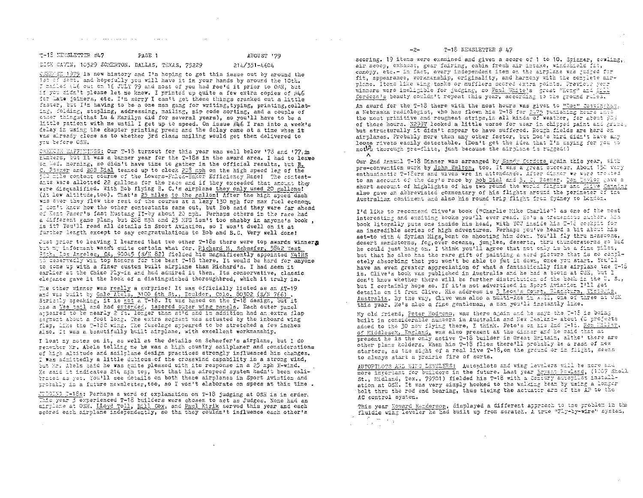T-18 NEWSLETTER #47 PAGE 1

**Service** 

# AUGUST '79

214/351-4604

and the state of the

 $\chi^2$  .

# DICK CAVIN, 10529 SOMERTON, DALLAS, TEXAS, 75229

a construction of the property of the construction of the construction of the construction of the construction of the construction of the construction of the construction of the construction of the construction of the cons

2020 1979 is now history and I'm hoping to get this issue out by around the Ist of Sert, and hopefully you will have it in your hands by around the 10th. I mailed su6 out on 16 JULY 79 and most of you had fectd it prior to OSH, but if you didn't please let me know. I printed up quite a few extra copies of #46 for Late joiners, etc. I'm sorry I can't get these things cranked out a little faster, but I'm having to be a one man gang for writing, typing, printing, collating, folding, stapling, addressing, mailing, zip code sorting, and a couple of caner things (that Lu & Marilyn did for several years), so you'll have to be a little patient with me until I get up to speed. On issue  $\#$ 6 I ran into a week's delay in using the chapter printing press and the delay came at a time when it was already close as to whether 3rd class mailing would get them delivered to vou before OSH.

 $\sim$  100  $\mu$ 

CRHICSH EAFFININGS: Our T-18 turnout for this year was well below '78 and '77.in runters, but it was a barner year for the T-18s in the award area. I had to leave on Wed, morning, so didn't have time to gather in the official results, but B. C. Poemer and BOB Dial teamed up to clock 203 mph on the high speed leg of the 500 Elle contest course of the Lowers-Falck-Baker Efficiency Racel The contestarts were allotted 22 gallons for the race and if they exceeded that amount they were discualified. With Bob flying B. C.'s airplane they only used 20 gallons! (it low altitude, too). That's 25 miles to the gallon! After the high speed dash was over they flew the rest of the course at a lazy 130 mph for max fuel economy. I don't know how the other contestants came out, but Bob said they were far ahead of Esst Paser's fast Mustang II-by about 20 mph. Perhaps others in the race had a different game plan, but 208 mph and 25 MPS isn't too shabby in anyone's book, is it? You'll read all details in Sport Aviation, so I won't dwell on it at further length except to say congratulations to Bob and B.C. Very well done!

Just prior to leaving I learned that two other T-18s there were top awards winners but my informant wasn't quite certain what for. Richard M. Schaefer, 5842 West 95th, Los Angeles, CA, 90045 (S/N 82) fielded his magnificently appointed N41RS to deservedly win top honors for the best T-18 there. It would be hard for anyone to come up with a finer custom built airplane than Richard's. I had seen it earlier at the Chino Fly-in and had admired it then. Its conservative, classic elegance gave it the look of a distinguished thoroughbred, which it truly is.

The other winner was really a surprise! It was officially listed as an AT-19 and was built by Gale Abels, 3100 6th St., Eculder, Colo. 80302 (S/N 766). Strictly speaking, it is not a T-18. It was based on the T-18 design, but it has a Vee tall and had extended, tapered outer wing panels. Each outer panel appeared to be nearly 2 ft. longer than stid and in addition had an extra flap segment about a foot long. The extra segment was actuated by the inboard wing flap, like the T-18C wing. The fuselage appeared to be stretched a few inches also. It was a beautifully built airplane, with excellent workmanship.

I lost my notes on it, as well as the details on Schaefer's airplane, but I do retation Mr. Abels telling me he was a high country sailplaner and considerations of high altitude and sailplane design practices strongly influenced his changes. I was admittedly a little dubicus of the crosswind capability in a strong wind, but Mr. Abels said he was quite pleased with its response in a 25 mph X-wind. He said it indicates 214 mph top, but that his airspeed system hadn't been calibrated as wet. You'll see details on both these airplanes in Sport Aviation and probably in a future newsletter, too, so I won't elaborate on specs at this time.

<u>JUDSING D-18s</u>: Perhaps a word of explanation on T-18 judging at OSH is in order.<br>This year 3 experienced T-18 builders were chosen to act as Judges. None had an airplane at OSH. LLoyd Toll, Bill Cox, and Paul Kirik served this year and each scored each airplane independently, so tha they couldn't influence each other's

scoring. 19 items were examined and given a score of 1 to 10. Spinner, cowling, air scoop, exhaust, gear fairing, cabin fresh air intake, windshield fit, canopy, etc.- in fact, every independent item on the airplane was judged for fit, appearance, workmanship, originality, and harmony with the complete airplane. Items like wing tanks or mufflers scored extra points. Previous year winners were ineligible for judging, so Paul White's great "Kong" and Rill Cordozals beauty couldn't repeat this year, according to the ground rules.

An award for the T-18 there with the most hours was given to "Doo" Costingham, A Nebraska radiologist, who has flown his T-18 for 2175 punishing hours into the most primitive and roughest strips, in all kinds of weather, for about 90% of those hours. N299V looked a little worse for wear in chipped paint and grand, but structurally it didn't appear to have suffered. Rough fields are hard on airplanes. Probably more than any other factor, but Doc's bird didn't have any loose rivets easily detectable. (Don't get the idea that I'm caying for you to notth thorough pre-flite, just because the airplane is rugged!)  $\lambda$ 

Our 2nd Annual T-18 Dinner was arranged by Sandy Cordoza again this year, with pre-convention work by John Walton, too. It was a great success. About 150 very enthusiastic T-18ers and wives wre in attendance. After dinner we were treated to an account of the day's race by Bob Dial and B. C. Foemer. Don Cavior gave a short account of highlights of his two round the world fligges and Clive Canning also gave an abbreviated commentary of his flights around the rerimeter of the Australian continent and also his round trip flight from Sydney to London.

T'd like to recommend Clive's book ("Charlie Kike Charlie") as one of the most interesting and exciting books you'll ever read. He's a tremendous author. His book literally puts one inside his head, with YOU inside his F-12 cockpit for an incredible series of high adventures. Perhaps you've heard a bit about his set-to with 4 Syrian Migs, bent on shooting him down. You'll fly thru menseons, desert sandstorms, fog, over oceans, jungles, deserts, thru thunderstorms so bad he could just hang on. I think you'll agree that not only is he a fine pilot, but that he also has the rare gift of painting a word picture that is so completely absorbing that you won't be able to put it down, once you start. You'll have an even greater appreciation of what a fantastically fine airplane the T-15 is. Clive's book was published in Australia and he had a booth at OSE, but I don't know whether there will be further distribution of the book in the U. S., but I certainly hope so. If it's not advertised in Sport Aviation I'll get details on it from Clive. His address is 3 Leon's Court, Blackburn, Victoria, Australia, by the way, Clive was also a multi-kee in wall, one of three at OSE this year. He's also a fine gentleman, a man you'll instantly like.

My old friend, Poter Hodgens, was there again and he says the I-18 is being built in considerable numbers in Australia and New Zealand- about 60 projects added to the 30 now flying there, I think. Pete's on his 2nd I-15. Ron Miller, of Middlesex, England, was also present at the dinner and he said that at present he is the only active T-18 builder in Great Britain, althot there are other plans holders. When his T-18 flies there'll probably be a rash of new starters, as the sight of a real live T-18, on the ground or in flight, seems to always start a prairie fire of sorts.

AUTOPILOTS AND WING LEVELERS: Autopilots and wing Levelers will be more and more imtortant for builders in the future. Last year Eryant Powland, (1007 Shell St., Midland, Tex., 79701) fielded his T-18 with a Century autorilot installation at OSH. It was very simply hooked to the walking beam by using a longer bolt thru the rod end bearing, thus tieing the actuater arm of the AP to the AC control system.

This year Howard Henderson, displayed a different approach to the problem in the fluidic wing leveler he had built up from scratch. A true "Fiy-by-wire" system,  $\mathbb{R}^{2n}$  . As  $\mathbb{R}^{2n}$  $\sim 10^{10}$   $\rm{M}_{\odot}$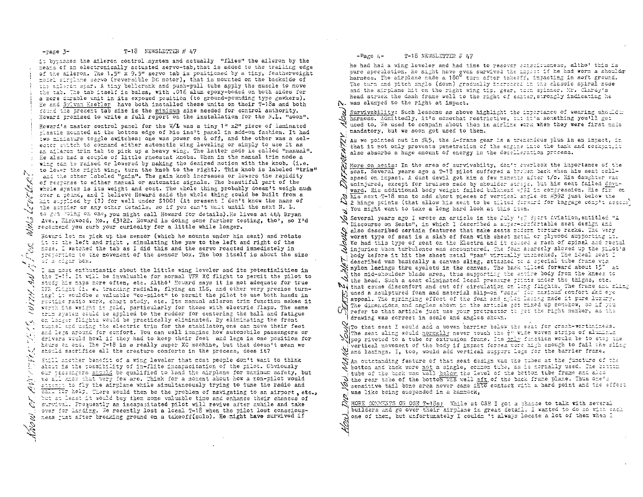#### T-18 NEWSLETTER  $# 47$  $-<sub>case</sub>  $3-$$

 $\mathcal{A}=\{x_1,x_2,x_3\}$ 

it bypasses the aileron control system and actually "flies" the aileron by the means of an electronically actuated servo-tab, that is added to the trailing edge of the aileron. The 1.5" x 9.5" servo tab is positioned by a tiny, featherweight model sirtlane servo (reversible DC motor), that is mounted on the backside of the aileron star. A tiny bellorank and push-pull tube apply the muscle to move the tab. The tab itself is balsa, with .016 alum epoxy-boded on both sides for a more durable unit in its exposed position (to ground-pounding type gawkers). He and Sylvan Keebler have both installed these units on their T-18s and both found the present tab size is the minimum size needed for control authority. Howard promised to write a full report on the installation for the N.L. "soon".

Howard's master control panel for the W/L was a tiny 1" x2" piece of laminated plastic mounted at the bottom edge of his ins't panel in add-on fashion. It had two miniature toggle switches: one was power on & off, and the other was a selector switch to command either automatic wing leveling or simply to use it as an afleron trim tab to pick up a heavy wing. The latter mode is called "manual". He also had a couple of little rheostat knobs. When in the manual trim mode a wing can be raised or lowered by making the desired motion with the knob. (i.e. to lover the right wing, turn the knob to the right). This knob is labeled "trim" and the other labeled "gain". The gain knob increases or lowers the rapidity of response to either manual or automatic signals. The beautiful part of the whole system is its weight and cost. The whole thing probably doesn't weigh much over a poind, and I believe Howard said the whole thing could be built from a Eit supplied by (?) for well under \$100! (At present I don't know the name of the surpier or any other details, so if you can't wait until the next N. L. to get roing on one, you might call Howard for details). He lives at 444 Bryan ave., Eirkwood, Mo., 63122, Howard is doing some further testing, tho', so I'd recommend you curb your curiosity for a little while longer.

Howard let me pick up the sensor (which he mounts under his seat) and rotate it to the left and right, simulating the yaw to the left and right of the noss. I watched the tab as I did this and the servo reacted immediately in prepertion to the movement of the sensor box. The box itself is about the size of a cigar box.

I am most enthusiastic about the little wing leveler and its potentialities in the I-th. It will be invaluable for normal VFR XC flight to permit the pilot to study his maps more often, etc. Altho' Howard says it is not adequate for true IFR flight (i. e. tracking radials, flying an ILS, and other very precise turning) it wouldbe a valuable "co-pilot" to permit the pilot to use both hands in reutime radio work, chart study, etc. Its manual aileron trim function makes it werth its weight in gold, particularly for those with electric flaps. The same trim system could be applied to the rudder for centering the ball and fatigue on longer flights would be practically eliminated. By eliminating the front turnel and using the electric trim for the stabilator, one can move their feet the and legs around for comfort. You can well imagine how automobile passengers or drivers would howl if they had to keep their feet and legs in one position for hours on end. The T-18 is a really super XC machine, but that doesn't mean we should sacrifice all the creature comforts in the process, does it?

Still another banefit of a wing leveler that most people don't want to think atout is the possibility of in-flite incapacitation of the pilot. Obviously our passengers should be qualified to land the airplane for maximum safety, but A we all know that very few are. Think for a moment about how a ron-pilot would attery: to fly the airplane while simultaneously trying to tune the radio and call for help. There would then be the problem of navigating to an airport, etc., but at least it would buy them some valuable time and enhance their chances of survival. Frequently an incapacitated pilot will revive after awhile and take over for landing. We recently lost a local T-18 when the pilot lost consciousness tust after breaking ground on a takeoff(solo). He might have survived if

#### $-P$ are  $4-$ T-18 NEWSLETTER #  $47$

he had had a wing leveler and had time to recover consciousness, altho' this is pure speculation. He might have even survived the impact if he had worn a shoulder harness. The airplane made a 180° turn after takes?s, impacting in soft ground. The turn and pitch angle (down) gradually increased in the classic spiral mode and the airplane hit on the right wing tip, gear, then spinner. Mr. Clardy's head struck the dash frame well to the right of canter. strongly indicating he N. was slumped to the right at impact.

Survivability: Such lessons as above highlight the inportance of wearing shouldne harness. Admittedly, it's somewhat restrictive. it's something you'll get used to. We used to compain about then in airline work when they were first made mandatory, but we soon got used to them.

As we pointed out in #5, the A-frame gear is a transmicus plus in an impact, it that it not only prevents penetration of the engine into the tank and cockprist also absorbs a huge amount of energy in the decelleration process.

More on seats: In the area of survivabilty, don't cverlook the importance of the seat. Several years ago a T-13 pilot suffered a broken back when his seat collapsed on impact. A dust devil got him a few moments after t/o. His daughter was uninjured, except for bruises made by shoulder straps, but his seat failed downward. His additional body weight failed bulkhead =532 in compression. His fix on his next T-18 was to add short pieces of vertical angle on #592 just below the  $\Delta$  2 hinge points (that allow his seat to be tilted forward for baggage comp't access You might want to take a long hard look at this item.

 $\tilde{\mathbb{N}}$  Several years ago I wrote an article in the July  $\mathbb{N}$  Sport Aviation, entitled "L Discourse on Seats", in which I described a super-confortable seat design and N also described certain features that make seats madern torture racks. The very worst type of seat is a slab of foam with sheet netal or plywood supporting it. We had this type of seat on the Electra and it caused a rash of spinal and rectal A injuries when turbulence was encountered. The foam starcely slowed up the tilot's body before it hit the sheet metal "pan" virtually unchecked. The ideal seat I described was basically a canvas sling, attached to a special tube frame via N'nylon lacings thru eyelets in the canvas. The back tilted forward about 15" at the mid-shoulder blade area, thus supporting the entire body from the knees to X the head. Such a seat eliminated local pressure prints under the thighs, etc. Ni that cause discomfort and out off circulation on long flights. The frame and aling used a soulptured foam and material slip-on "sack" for maximum comfort and eye appeal. The springing effect of the foar and nylem lasing made it pure luxury. The dimensions and angles shown in the article set mixed up senshow, so if you refer to that article just use your protractor to get the right number, as the drawing was correct in scale and angles shown.

NiTo that seat I would add a woven barrier below the seat for crash-worthniness. The seat sling would normally never touch the  $\tilde{\tau}^n$  wide woven strips of aluminum pop riveted to a tube or extrusion frame. Its only function would be to stop the vertical movement of the body if impact forces were high enough to fail the slimp Wentical movement of the body is interested support legs for the barrier frame.

 $\mathcal S$  an outstanding feature of that seat design was the tubes at the juncture of the bottom and back were not a single, common tube, as is normally used. The bottom tube of the back was well helow the level of the bottom tube frame and also  $\Im$  the rear tube of the bottom was well gft of the back frame plane. Thus one's sensitive tail bone area never came into contact with a hard point and the effect was like being suspended in a hammock,

MORE CONNEXTS ON OSH T-18s: While at CSH I got a chance to talk with several builders and go over their sirplane in great detail. I wanted to do so with each one of them. but unfortunately I couldn 't always locate a lot of them when I

A., LEWELER! Wikia  $\sum_{i=1}^n \frac{1}{n_i}$ MY NAV  $\mathcal{L}^{\infty}$  . îγ. Š.  $\mathcal{L}^{\prime}$ ر<br>مراجع<br>مراجع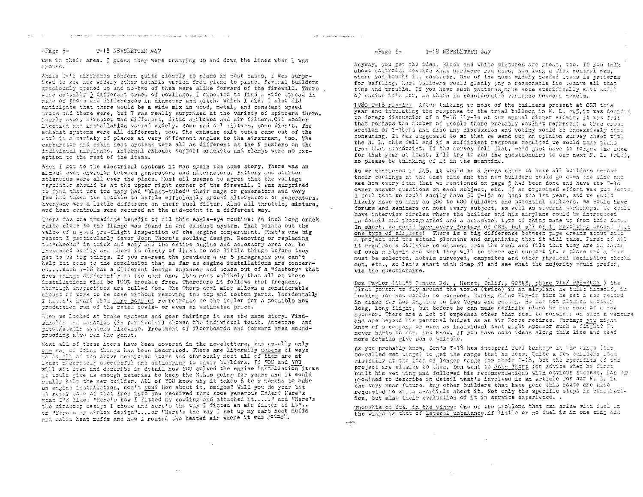#### www.com and the state of the complete service and the state of the state of the State Company and the State Company of the State Company of the State Company of the State Company of the State Company of the State Company of the St

 $\langle \hat{\rho}^{(2)} \rangle \rightarrow \gamma$  , they assume<br>map  $\hat{\rho}^{(2)}$  .

<sub>a</sub>united and

#### $-2$ age 5-T-18 NEWSLETTER #47

was in their area. I guess they were tramping up and down the lines when I was around.

While T-16 airframes conform quite closely to plans in most cases, I was surprised to sse how widely other details varied from plane to plane. Several builders graciously crened up and no-two of them were alike forward of the firewall. There were actually 5 different types of cowlings. I expected to find a wide spread in make of props and differences in diameter and pitch, which I did. I also did anticitate that there would be a wide mix in wood, metal, and constant speed props and there were, but I was really surprised at the variety of spinners there. Cearly every airscoop was different, ditto airboxes and air filters. Oil cooler location and installation varied widely. Some had oil filters, some didn't. The exhaust systems were all different, too. The exhaust exit tubes came out of the cowl in a variety of places at very different angles to the airstream, too. The carburetor and cabin heat systems were all as different as the N numbers on the individual airtlanes. Internal exhaust support prackets and clamps were no excettion to the rest of the items.

When I got to the electrical systems it was again the same story. There was an almost even division between cenerators and alternators. Battery and starter solencids were all over the place. Most all seemed to agree that the voltage regulator should be at the upper right corner of the firewall. I was surprised to find that not too many had "blast-tubed" their mags or generators and very few had taken the trouble to baffle efficiently around alternators or generators. Everyone was a little different on their fuel filter. Also all throttle, mixture. and heat controls were secured at the mid-point in a different way.

There was one immediate benefit of all this eagle-eye routine: An inch long crack cuite close to the flange was found in one exhaust system. That points out the value of a good tre-flight inspection of the engine compartment. That's one big reason I particularly favor John Thorn's cowling design. Removing or replacing the "cheeks" is quick and easy and the entire engine and accessory area can be inspected easily and there is plenty of light to see little things before they get to be big things. If you re-read the previous 4 or 5 paragraphs you can't help but come to the conclusion that as far as engine installations are concerned.... each T-18 has a different design engineer and comes out of a "factory" that does things differently to the next one. It's most unlikely that all of these installations will be 100% trouble free. Therefore it follows that frequent. therough instections are called for. The Thorp cowl also allows a considerable amount of work to be done without removing the top and bottom parts. Incidentally I haven't heard from Marc Bourget retrosponse to the feeler for a possible new production run of the metal cowls- or even an estimated price.

Then we looked at trake systems and goar fairings it was the same story. Windshields and canopies (in particular) showed the individual touch. Antennae and pitot/static systers likewise. Treatment of floorboards and forward area soundproofing also ran the gamut.

Most all of these items have been covered in the newsletters, but usually only one way of doing things has been described. There are literally dozens of ways To do all of the above mentioned items and obviously most all of them are at least moderately successful and satisfying to their builders. If YOU and YOU will sit down and describe in detail how YOU solved the engine installation items it would give us enough material to keep the N.L.s going for years and it would really help the new builder. All of YOU know why it takes 6 to 9 months to make an enrine installation, don't you? How about it, amigos? Will you do your bit to repay some of that free info you received thru some generous EAAer? Here's what I'd like: "Rere's how I fitted my cowling and attached it....." and "Here's the airscoop design I chose and here's the way I fitted an air filter in it".. or "Here's my airbox design"....or "Here's the way I set up my carb heat muffs and catin heat muffs and how I routed the heated air where it was going".

 $\sim$ 

#### $-P_{\alpha,\text{RE}}$   $\epsilon$   $-$ T-18 NEWSLETTER #47

Anyway, you get the idea. Plack and white pictures are great, too. If you talk about controls, mention what hardware you used, how long a flex control was, where you bought it, cost, etc. One of the most widely needed items is patterns for baffling. Nost builders would gladly pay a reasonable fee tosave all that time and trouble. If you have such patterns, make note specifically what model of encine it's for, as there is considerable variance between models.

1980 T-18 Fly-In: After talking to most of the builders present at OSH this year and tabulating the response to the trial balloon in N. I. #15,1t was decided to forego discussion of a T-18 Fly-In at our annual dinner affair. It was felt that perhaps the number of people there probably wouln't represent a true cross section of T-18ers and also any discussion and voting would be excessively time consuming. It was suggested to me that we send out an opinion survey sheet with the N. L. this fall and if a sufficient response resulted we would make plans from that standpoint. If the survey fell flat, we'd just have to forget the idea for that year at least. I'll try to add the questionaire to our next N. L. (#0), so please be thinking of it in the meantime.

As we mentioned in #45, it would be a great thing to have all builders remove their covlings at the same time and the new builders could go down the line and see how every item that we mentioned on page 5 had been done and have the T-10 owner answer questions on each subject, etc. If an organized effort was put forta, I feel that we could easily have 50 T-18s on hand the 1st year, and we could likely have as many as 500 to 400 builders and potential builders. We could have forums and seminars on most every subject, as well as several workshops. We could have interview circles where the builder and his sirrlane could be introduced in detail and thotographed and a scrapbook tyre of thing made up from this data. In short, we could have every feature of CSH, but all of it revolving around just one type of airplane! There is a big difference between pipe dreams about sura a project and the actual planning and organizing that it will take. First of all it requires a definite commitment from the rank and file that they are in favor of such a Fly-in and that they will be there and support it. A place and a date must be selected, motels surveyed, campaites and other physical facilities chocks out, etc., so let's start with Step #1 and see what the majority would prefer, via the questionaire.

Don Taylor (44455 Banton Rd., Hemet, Calif., 92543, phone 714/ 925-7404) the first person to fly around the world (twice) in an airplane he built hisself, is looking for new worlds to conquer. During Chino Fly-in time he set a new restrd in class for Los Angeles to Las Vegas and return. He has now planned another long. long flight, but before he can make definite plans he has need of a new sponsor. There are a lot of expenses other than fuel to consider on such a venture and are beyond his personal budget as an Air Force retiree. Perhaps you might know of a contany or even an individual that might sponsor such a flight? It never hurts to ask, you know. If you have some ideas along this line and need more details give Don a whistle.

As you probably know, Don's T-18 has integral fuel tankage in the wings (the so-called wet wings) to get the range that he does. Quite a few builders lock wistfully at the idea of longer range for their T-18, but the specifics of the project are elusive to them. Don went to John Thorp for advice when he fires built his wet wing and followed his recommendations with obvious success. Don his promised to describe in detail what's involved in an article for our N. I. in the very near future. Any other builders that have gone this route are also requested to write anarticle about it. Not only the specific steps in construction, but also their evaluation of it in service experience..

Thoughts on fuel in the wings: One of the problems that can arise with fuel in the wings is that of lateral unbalance.if little or no fuel is in one wing and

 $\sim$ 

 $\mathcal{L}_{\text{GUT}}$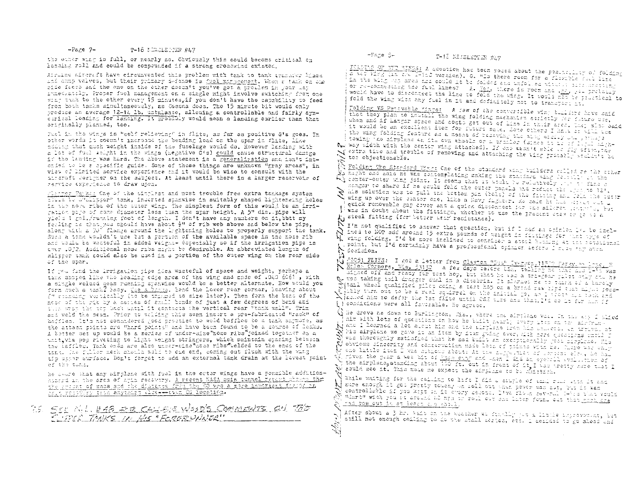#### $-P6/20.7-$ T-18 NIRSLETTER #47

the outer what is full, or nearly so. Chyiously this could become aritical on landing roll and could be compounded if a strong crosswind existed.

Airline aircraft have circumvented this problem with tank to tank transfer Mines and dump valves, but their primary defense is fuel management. When a tank on one side feess and the one on the other doesn't you've got a proplem in your war immediatily. Proper fuel management on a single might involve switching from one wing tank to the other every 15 minutes if you don't have the capability to feed from both tanks simultaneously, as Cessna does. The 15 minute bit would only produce an average  $2-12$ , 1b, unbalance, allowing a controllable and fairly symeirical loading for landing. It probably would mean a landing earlier than that originally planned, too.

Paci in the wings is "self relieving" in flite, as far as positive G's goes. In other words it doesn't increase the bending load on the spar in flite, like adding that auch weight inside of the fuselage would do. However landing with a let of fuel weight in the wings (negative G's) could cause structural damage if the lauding wes hard. The above statement is a generalization and isn't intonded to be a specific guide. Some of these things are unknown "gray areas", in view of litted service experience and it would be wise to consult with the alreraft designer on the subject. At least until there is a larger reservoir of rervice (xperience to draw upon.

flinger Fanker One of the simplest and most trouble free extra tankage system splin by Willpour" tank, informed spanwise in suitably shaped lighteneing holes in the nost ribe of the cuter wing. The simplest form of this would be an irrigation pipe of some diameter less than the spar height. A 5" dis. pipe will yisld I gol./running foot of length. I don't have any numbers on it, butt my faciing is that you should have about  $\frac{1}{2}$ " of rib web above and below the pipe, along with a 30° flange around the lightening holes to properly support the tank. Span a tong wouldn't use but a portion of the available space in the nose rib and would be wasteful in added weight- depecially so if the irrigation pipe is over .032. Additional nose ribs might be desirable. An abbreviated length of slitter tank could also be used in a portion of the outer wing on the rear side of the spar.

If you find the lrrigation pipe idea wasteful of space and weight, perhaps a tank shoped like the leading edge area of the wing and made of .040 606!, with a single welded seam running sysnwise would be a better alternate. How would you form Such a task? hasy. We a brake, hend the lower rear corner, loaving about (" standary vertically (to be trianed to size later). Then form the bend of the nese of the rip by a series of small bends of just a few degrees of bend and then wrap the top back untal it contacts the vertical rear Ptank wall". Trim and weld the seam. Prior to welding this seam insert a pre-fabricated "rack" of baffles. It's not considered good prostice to weld baffles to a tank shumore, as the attach points are "hard points" and have been found to be a source of leaks. A better set up would be a series of under-size nose ribs"joined together as a unit via pos riveting to light weight stringers, which maintain spacing between the laffles. Tank ends are also under-cine "hoss ribs"welded to the ends of the tane. Ine fullor neck should weld to case end, coming out flush with the wing tip ustar surface. Don't forget to add an external tank drain at the lewest point of the tank.

be coare that any airplane with foal in the outer wings have a possible additionhistralia the area of agin recovery. A recent NASA epin tunnel reveat through that the creamt of mass and the distance from the OC was a more important for 24 in anis resovery than anything close--aven OG location.

35 SEE MILLER FR CALLED WOOD'S COMMENTS ON THE ELERCE TANKS IN HIS "FORER UNIOR"

### -Face S-T-18 NEWSLETTER SA7

FELETE OF THE TIXES! A question has been posed about the positivitie; of folding alimatik... The crown is generator of the there is a straight of the state of the state of the state of the st<br>A wet wing that the I-120 version). O. "Is there room for a flexible full line in the wilp one area and could it be folded she unfolled without site macritime or newstands the fact that we will be a state of the community of the set of the set of the set of the set of the set of the set of the set of the set of the set of the set of the set of the set of the set of the set of th fold the wing with any fuel in it and definitely not to transport it.

Folding VS Pencyable "ings: A few of the convertible wing billing hove said that they plan to install the wing folding mechanism seriotly for future use. when and if hanger space and costs get out of line in thiir sred, They slow said it would be an executent from for future sale. Some others I know of will wee the wing folding feature as a message reserving the aing ersity who perhaps towing The airplane on its own wheels or a prakler (since it is of light high-New way width with the center wing attached). If one seem't able to fly offering N'extra time and trouble of removing and attaching the wing probably scaling be tos objectionable.

N Folding The Standard Wings One of the standard wing builders colled re the coher As hight and same he was contemplating making the standard wing fourally on the Ry conter-outer wing jaint. It seems that it would be releasively of the final d cangar to share if he could fold the outer panels the reduce the grange they Whis solution was to pull the bottom pin (bolt) of the fitting and lola the burge of the surface of the surface of the strain of the surface of the strain of the surface of the strain of the strain of the strain of the str quick removable gap cover and a quick disconnect for the silerent leaser is was in doubt about the fittings, whether to use the present wies or go to a ty steel fitting (for better wear resistance).

N I'm not qualified to answer that question, but if I sad an opinion issule incl-N incd to EOT add around 15 extra pounds of weight in fillings for that type of W wing folding. I'd be more inclined to consider a stacl hishing at the reparional el point, but I'd cortainly have a professional opinion active l'ules any such

N desiden.<br>N 41051 FAIES: I get a letter from Clayton "Dua" (www.cr.11510 Fairy-0) 2786. E.<br>N Bales Corners, Wiss 53150 , a few days before 65a, talify we what in 2785. E. Q. web taking tail dragger dual in a Citabria. It alarbed me to think of a tarely tanl wheal qualified pilet coing a test hop on a brond new tird quat might pope-Clibly turn out to be a real squirrel on the initial po, as i trees all task and X Jashed him to defer the jet flite until CSK that and that. I'd as it for him if { } conditions were all favorable. He agreed.

() He drove me down to Burlington, Wis., where the simplane was. In the aty I plied him with lots of questions on how he built nearly svery item on the sickness N and I loarned a lot alout him ond the sirglens show his showers. In training at N his airplane we gave it an item by itsm going over, with nore questions until T was thoroughly satisfied that he had built an exceptionally good airplane. His X! obvieus sikeerity and conservation made lota of palato with de. Alore was only Ar one lattle from I was defined about which were reduced to more than 100 and 100 and 100 and 100 and 100 and 100 and 100 and 100 and 100 and 100 and 100 and 100 and 100 and 100 and 100 and 100 and 100 and 100 and 100 and

While waiting for the ceiming to lift I difful couple of that rand with it and X sure enough he gos pretty tolohy on 1011 out then power was alt, the it was controllacie if you katt at it every second. I've flows several I-was that would "Gart" with you ot archief as myn or roll out sam later found out that rock tre mad toe out in st least of who. I.

After about a 3 hr. Wait on the weather we finally jot a little infrovement, but still not enough coiling to do the atall acries, etc. I desided to go ahoad and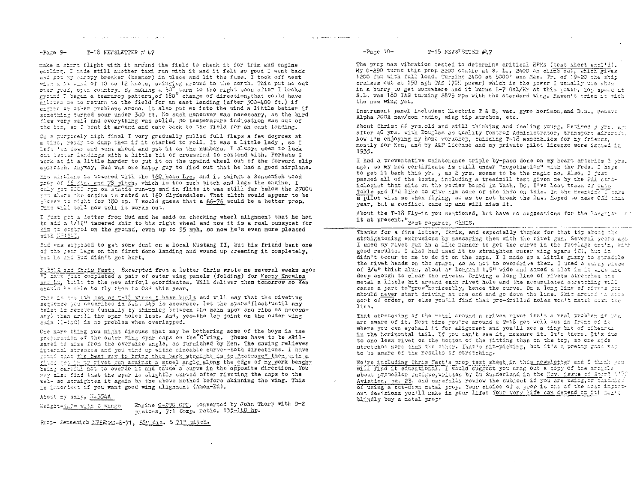#### المن التي التي التي تعالى التي تعلق التي تستمر العالمين العام التي التي التي تعلق التي التي التي ال<br>التي التي التي التي التي التي التي تتم التي تتم التي تتم التي تتم التي تتم التي التي التي التي التي التي التي  $\mathcal{L}^{\mathcal{L}}$  and  $\mathcal{L}^{\mathcal{L}}$  are the contribution of the contribution of the contribution of  $\mathcal{L}^{\mathcal{L}}$

#### $-Fage$   $9-$ T-18 NEWSLETTER # 47

make a short flight with it around the field to check it for trim and engine cooling. I made still another taxi run with it and it felt so good I went back and gat my cancyy breaker (hammer) in place and lit the fuse. I took off west with a N4 wind of 10 to 12 knots, swinging around to the north. This put me out over good, open country. By making a 30<sup>9</sup> turn to the right soon after I broke<br>ground I began a teardrop pattern, of 180<sup>0</sup> change of direction, that could have alleved me to return to the field for an east landing (after 300-400 ft.) if entine or other problems arose. It also put me into the wind a little better if scrething turned sour under 300 ft. No such maneuver was necessary, as the bird flex very xell and everything was solid. No temperature indication was out of the box, so I bent it around and came back to the field for an east landing.

On a purposely high final I very gradually pulled full flaps a few degrees at a time, ready to dump them if it started to roll. It was a little lady, so I Left 'em down and went ahead and put it on the numbers. I always seem to luck out better landings with a little bit of crosswind to contend with. Perhaps I work at it a little harder to put it on the upwind wheel out of the forward slip approach. Anyway, Bud was one happy guy to find out that he had a good airplane.

Eis airtlane is powered with the 160 hoss Lyc. and it swings a Sensenich wood prop of 66 dia, and 78 pitch, which is too much pitch and lugs the engine. I crip get 2000 rpm on static run-up and in flite it was still far below the 27000 rtz where the engine is rated at 160 Clydesdales. That pitch would appear to be closer to right for 180 hp. I would guess that a 66-76 would be a better prop. The will tell how well it works out.

I just get a letter from Bud and he said on checking wheel alignment that he had to add a 1/16" tapered shim to his right wheel and now it is a real pussycat for him to control on the ground, even up to 55 mph, so now he's even more pleased with NS1247.

Eud was supposed to get some dual on a local Mustang II, but his friend bent one of the gear legs on the first demo landing and wound up creaming it completely, but he and Bud didn't get hurt.

NU5514 and Chris Fast: Excerpted from a letter Chris wrote me several weeks ago: "I have just completed a pair of outer wing panels (folding) for <u>Kenny Knowles</u> and Li, built to the new airfoil coordinates. Will deliver them tomorrow so Ken should be able to fly them to OSH this year.

This is the Lth set of T-18 wings I have built and will say that the riveting secuence you described in K.L. #45 is accurate. Let the spars'float'until any trist is repoved (usually by shimming between the main spar and ribs as necessary) then drill the spar holes last. And, yes-the lap joint on the outer wing skin (I-186) is no problem when overlapped.

One mare thing you might discuss that may be bothering some of the boys is the preparation of the outer wing spar caps on the "C"wing. These have to be skilsared to size from the oversize angle, as furnished by Ken. The sawing relieves internal stresses and you wind up withe sizeable curve--both directions. I have found that the best way to bring them back straight is to Umassage" them with a flass set in my rivet gun against a steel angle along the edge of my work benchbeing careful not to overdo it and cause a curve in the opposite direction. You may also find that the spar is slightly curved after riveting the caps to the ween so straighten it again by the above method before skinning the wing. This is intertant if you want good wing alignment (Amen-Ed).

### About my ship, 34354A

Weight-PLP= with C wings

Engine 0-290 GPU, converted by John Thorp with D-2 pistons, 7:1 Comp. ratio, 135-140 hp.

Prop- Sensemich M76EMS-8-71, 68" dia. & 71" pitch.

#### $-Paze 10-$ T-18 NEWSLETTER #17

The prop was vibration tested to determine critical RPMs (test sheet encl'd). My 0-290 turns this prop 2200 static at S. L., 2400 on clieb out, which gives 1200 fpm with full load. Turning 2400 at 5000' and Man. Pr. of 19-20 the ship cruises out at 150 mph TAS (70% power) which is the power I usually use when in a hurry to get somewhere and it burns 6-7 Gal/Hr at this power. Top speed at S.L. was 180 IAS turning 2875 rpm with the standard wing. Haven't tried it with the new wing yet.

Instrument panel includes: Electric T & B, vac. gyro horizon, and D.G., Genave Alpha 200A nav/com radio, wing tip strobes, etc.

About Chris: 66 yrs. Old and still thinking and feeling young. Retired 3 yrs. art after LO yrs. with Douglas as Quality Control Administrator, transport aircreat. Now I'm enjoying my home workshop, building T-18 assemblies for my friencs, mostly for Ken, and my A&P license and my private pilot license were issued in 1935.

I had a preventative maintenance triple by-pass done on my heart arteries 2 wrs. ago, so my med certificate is still under "negotiation" with the Feds. I hope to get it back this yr., as 2 yrs. scems to be the magic no. Also, I just passed all of the tests, including a treadmill test given me by the FAA cardiologist that sits on the review board in Wash. DC. I've lost track of Cats Tokle and I'd like to give him some of the info on this. In the meantime I take a pilot with me when flying, so as to not break the law. Hoped to make CSH this year, but a conflict came up and will miss it.

About the T-18 Fly-in you mentioned, but have no suggestions for the location of it at present."<br>Best regards, CHRIS.

Thanks for a fine letter, Chris, and especially thanks for that tip about the straightening extrusions by massaging them with the rivet gun. Several years ago I used my rivet gun in a like manner to get the curve in the fuselage entir, with good results. I also had used it to straighten outer wing spars (C), but it didn't occur to me to do it on the caps. I I made up a little gizzy to stradale the rivet heads on the spars, so as not to overdrive ther. I used a scrap piece of 3/4" thick alum, about 4" longand 1.5" wide and sawed a slot in it wide and deep enough to clear the rivets. Driving a long line of rivets stretches the metal a little bit around each rivet hole and the accumulated stretching will cause a part to grow "noticeatly, hence the curve. On a long line of rivers you should never start driving at one end and go down the line. Skip around in strasort of order, or else you'll find that pre-drilled holes wor't match askn the line.

That stretching of the metal around a driven rivet isn't a real problem if you are aware of it. Next time you're around a T-18 get well out in front of it where you can eyeball it for alignment and you'll see a tiny bit of dihearal in the horizontal tail. If you can't see it, measure it. It's there. It's the to one less rivet on the bottom of the fitting than on the top, so one mide stretches more than the other. That's nit-picking, but it's a pretty good way to be aware of the results of stretching.

We're including Chris Fast's prop test sheet in this newsletter and I think you will find it educational. I would suggest you drag out a copy of the article about propellor fatigue, written by Lu Sunderland in the Nov. issue of Sport Aviation, pg. 23, and carefully review the subject if you are using, or that that of using a cut-down metal prop. Your choice of a prop is one of the most important decisions you'll make in your life! Your very life can depend on it! Dor't blindly buy a metal prop-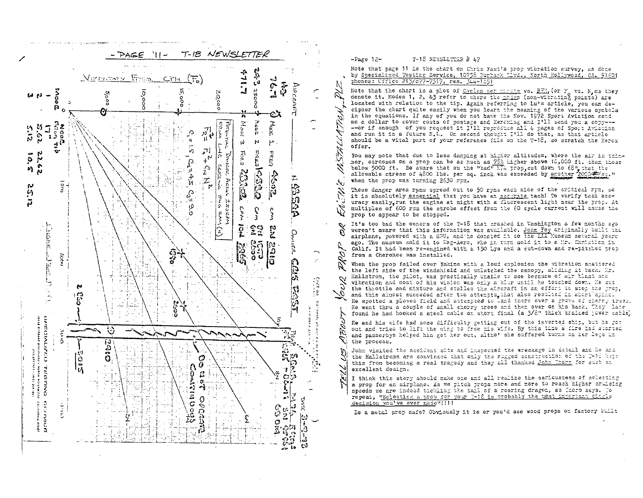

#### T-18 NEWSLETTER # L7  $-Page 12-$

iol.

S

VZ.

 $\blacktriangledown$ 

Note that page 11 is the chart on Chris Fast's prop vibration survey, as done by Specialized Testing Service, 10758 Burtank Elva., North Hollywood, CA. 91601 phones: Cffice 215/877-7317, res. 344-1851

Note that the chart is a plot of Cycles per minute vs. REL (or F vs. N as they denote it. Modes 1, 2, & J refer to where the nodes (non-vibrating points) are located with relation to the tip. Again referring to Lu's article, you can decipher the chart quite easily when you learn the meaning of the various symbols in the equations. If any of you do not have the Nov. 1972 Sport Aviation send me a dollar to cover costs of postage and Xerexing and I'll send you a conv-----or if enough of you request it I'll reproduce all 4 pages of Sport Aviation and run it in a future N.T. On second thought I'll do that, as that article should be a vital part of your reference file on the T-18. so scratch the Xeror offer.

You may note that due to less damping at higher altitudes, where the air is thinner, stresses on a prop can be as much as 75% higher above 10,000 ft. than those below 5000 ft. Be aware that on the "bad" E74 prop, cut down to  $60^{\circ}$  that the allowable stress of 4800 lbs. per sq. inch was exceeded by spother 2000 \*\* sq." when the prop was turning 2630 rpm.

These danger area roms soread out to 50 roms each side of the critical rpm, so it is absolutely essential that you have an accurate tach! To verify tach accuracy easily, run the engine at night with a fluorescent light near the prop. At Z multiples of 600 rpm the strobe effect from the 60 cycle current will cause the prop to appear to be stopped.

It's too bad the owners of the T-18 that crashed in Washington a few months ago  $\mathcal{P}$ veren't aware that this information was available. John Foy originally built the airplane, powered with a GPU, and he donated it to the EAA Museum several years Đ, ago. The museum sold it to Wag-Aero, who in turn sold it to a Mr. Christian in Calif. It had been re-engined with a 150 Lys and a cut-down and re-pitched prop Ó. from a Cherokee was installed.

Ķ When the prop failed over Yakima with a loud explosion the vibration shattered the left side of the windshield and unlatched the canopy, sliding it back. Mr. Hallstrom, the pilot, was practically unable to see because of air blast and  $\vee$ vibration and most of his vision was only a blur until he touched down. He cut Š the throttle and mixture and stalled the aircraft in an effort to stop the prop, and this almost succeded after two attempts, that also resulted in short spins. He spotted a plowed field and attempted to Land there over a grove of cherry track. He went thru a couple of small cherry trees and then over on his back. They late found he had hooked a steel cable on short final (a 3/8" thick braided nower cable) N.

He and his wife had some difficulty getting out of the inverted stip, but he got out and tried to lift the wing to free his wife. By this time a fire had started and passerbys helped him get her out, altho' she suffered burns on her legs in the process.

John visited the accident site and inspected the wreckage in detail and he and the Hallstroms are convinced that only the rugged construction of the P-12 kept this from becoming a real tragedy and they all thanked John Thort for such an excellent design.

I think this story should make one and all realize the seriousness of selecting a prop for an airplane. As we pitch props more and more to reach higher cruising speeds we are indeed tickling the tail of a roaring dragon, as Inorp says. To repeat, "Selecting a prop for your 7-18 is probably the usst innertant single decision you've ever made !!!!!!

Is a metal prop safe? Obviously it is or you'd see wood props on factory built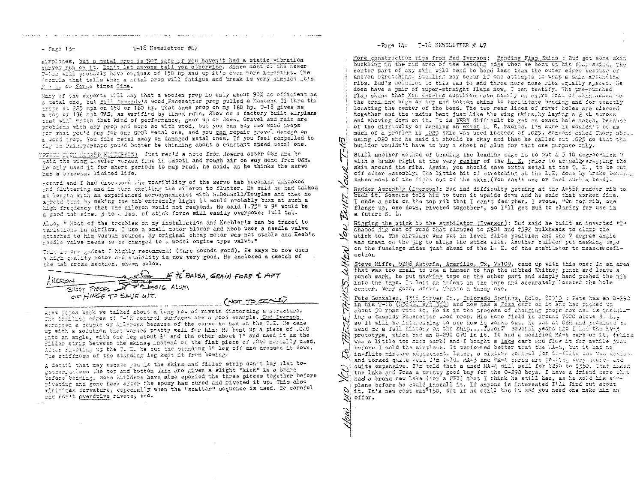$-$  Page  $15-$ 

## T-18 Newsletter #47

airplanes, but a metal prop is NOT safe if you haven't had a static vibration<br>survey run on it, Don't let anyone tell you otherwise. Since most of the newer Twids will probably have engines of 150 hp and up it's even more important. The formula that tells when a netal prop will fatigue and break is very simple: It's F x T, or Force times Time.

Hany of the experts mill say that a wooden prop is only about 90% as efficient as a metal one, but 2111 Cassicy's wood Pacesetter prop pulled a Mustang II thru the trats at 225 mph on 150 or 160 hp. That same prop on my 160 hp. T-18 gives me a top of 196 mph TAS, as verified by timed runs. Show me a factory built airplane that will match that kind of performance, gear up or down. Gravel and rain are problems with any prop and more so with wood, but you can buy two wood props for what you'd pay for one GOOD metal one, and you can repair gravel damage on a wood prop. You file metal away on damaged metal ones. If you feel compelled to fly in rain, perhaps you'd better be thinking about a constant speed metal one.

UPPATE FROM HOWARD HENEERSON: Just rec'd a note from Howard after OSH and he said the wing loveler worked fine in smooth and rough air on way home from OSH. he only used it for short periods to map read, he said, as he thinks the servo Wee a screwhat limited life.

Foward and I had discussed the possibility of the servo tab becoming unhooked and fluttering and in turn exciting the aileron to flutter. He said he had talked at length with an experienced aerodynamicist with McDonnell/Douglas and that he agreed that by making the the extremely light it would probably buzz at such a high frequency that the aileron would not respond. He said 1.75" x 9" would be a good tab size. 3 to 4 lbs. of stick force will easily overpower full tab.

Also, " Most of the troubles on my installation and Keebler's can be traced to variations in airflow. I use a small motor blower and Keeb uses a needle valve attached to his vacuum source. My original cheap motor was not stable and Keeb's needle valve needs to be changed to a model engine type valve."

This is one gadget I highly recommend! (Sure sounds good). He says he now uses a high quality motor and stability is now very good. He enclosed a sketch of the tab cross section, shown below.

| FILERON                    |                                                                                                                                                                                                                                | $\epsilon$ $\rightarrow$ $\epsilon$ to BALSA, GRAIN FORE & APT |  |
|----------------------------|--------------------------------------------------------------------------------------------------------------------------------------------------------------------------------------------------------------------------------|----------------------------------------------------------------|--|
| SHORT PIECES TO BLOIC ALUM |                                                                                                                                                                                                                                |                                                                |  |
| OF HINGE TO SAVE WT.       |                                                                                                                                                                                                                                |                                                                |  |
|                            | the contract of the company of the first the contract of the contract of the contract of the contract of the contract of the contract of the contract of the contract of the contract of the contract of the contract of the c |                                                                |  |

Alew pages back we talked about a long row of rivets distorting a structure. The trailing edges of 7-18 control surfaces are a good example. Bud Iverson scrapped a couple of aflerons because of the curve he had on the T.E. He came uy with a solution that worked pretty well for him: He bent up a piece of .040 into an angle, with one leg about  $\frac{1}{2}$ " and the other about 1" and used it as the filler strip between the skins, instead of the flat piece of .040 normally used. After riveting up the T. E. he cut the standing 1" leg off and dressed it down. The stiffness of the standing leg kept it from bowing.

A detail that may escape you is the skins and filler strip don't lay flat together unless the top and bottom skin are given a slight "kick" in a brake before bending. Some builders have also epoxied the three pieces together before riveting and gone back after the epoxy has cured and riveted it up. This also minimizes curvature, especially when the "scatter" sequence is used. Be careful and don't overdrive rivets, too.

# $-$ Page  $14 = 7-18$  NEWSLETTER # 47

m

ō/

 $\mathcal{L}$ 

More construction tips from Bud Iverson: Bending Flap Skins : Bud got some skin buckling in the mid area of the leading edge when he bent up his flap skins. The center part of any skin will tend to bend less than the outer edges because of uneven stretching. Euckling may occur if one attempts to wrap a skin around the ribs. Bud's solution to this was to add three more nose ribs equally spaced. He does have a pair of super-straight flaps now. I can testify. The tre-punched flap skins that Ken Knowles supplies have nearly an extra foot of skin added to the trailing edge of top and bottom skins to facilitate bending and for exactly locating the center of the bend. The two rear lines of rivet holes are clecoed together and the skins bent just like the wing skins, by laying a 2 x4 across and shoving down on it. It is VERY difficult to get an exact hole match, because of the difficulty of bending an exact L. F. radius. I'm sure it wouldn't be as much of a problem if .020 skin was used instead of .025. Someone asked Thorp abos. using .020 and he said it should be okay and that he called out .025 so that the builder wouldn't have to buy a sheet of alum for that one purpose only.

Still another method of bending the leading edge is to put a 5-10 degree which w with a brake right at the very center of the  $L$ . E. prior to actually resting the skin around the ribs. Again, you should have extra metal at the T. E., to be cut off after assembly. The little bit of stretching at the L.E. done by brake bending takes most of the fight out of the skin. (You can't see or feel such a bend).

Rudder Assembly (Iverson): Bud had difficulty getting at the A-536 rudder rib to buck it. Someone told him to turn it upside down and he said that worked fine. I made a note on the top rib that I can't decipher. I wrote, "On top rib, one flange up, one down, riveted together", so I'll get Bud to clarify for use in a future N. L.

Rigging the stick to the stabilator (Iverson): Bud said he built an inverted "T" shaped jig out of wood that clanped to #601 and #592 bulkheads to clanp the <u>يي</u> stick to. The airplane was put in level flite position and the 7 degree angle was drawn on the jig to align the stick with. Another builder put masking tape on the fuselage sides just ahead of the L. E. of the stabilator to measuredeflection

Steve Riffe, 5208 Astoria, Amarillo, Tx, 79109, came up with this one: In an area that was too small to use a hammer to tap the nibbed Whitney punch and leave a punch mark, he put masking tape on the other part and simply hand pushed the nib into the tape. It left an indent in the tape and accurately located the hole center. Very good, Steve. That's a handy one.

Pete Gonzalez, 13td Server Dr., Colorado Springs, Colo. 80910 : Pete has an 0-290 in his T-18 (13:33, s/m 380) and now has a Posa carb on it and has ricked up about 50 rpms with it. He is in the process of changing props now and is installing a Cassidy Pacesetter wood prop. His home field is around 7000 above S. L., so it will be interesting to see how it works out. He was at CSH and promiced to send me a full history on the ship.... soon! Several years ago I had the EV-3 prototype, which had an 0-290 GPU in it. It had a modified MA-4 carb on it, (which was a little too much carb) and I bought a lake carb and flew it for awhile just before I sold the airplane. It performed better than the MA-4, but it had no in-flite mixture adjustment. Later, a mixture control for in-flite use was devised and worked quite well I'm told. MA-3 and MA-4 carbs are getting very scarce and quite expensive. I'm told that a used MA-4 will sell for \$250 to \$350. That makes the Lake and Posa a pratty good buy for the 0-290 boys. I have a friend here that had a brand new Lake (for a GPU) that I think he still has, as he sold his aloplane before he could install it. If anyone is interested I'll find out about it. It's new cost was<sup>5</sup>150, but if he still has it and you need one make him an  $\approx$ offer.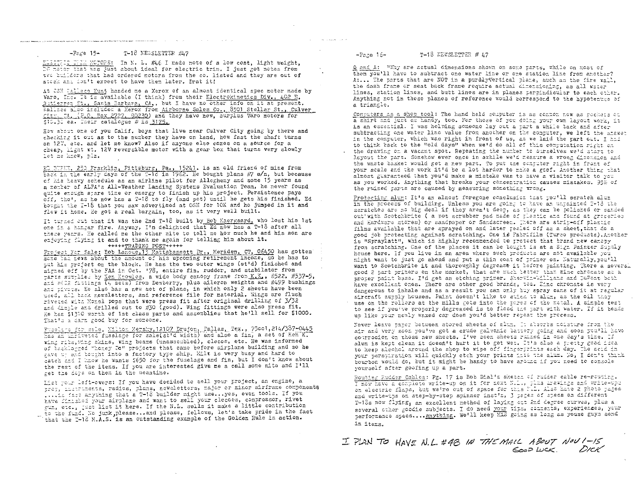# **A MONEY CONTRACT AND ARRESTED MANUFACTURERS OF THEORY AS ANNUFACTOR COMPANY OF THE CONSUMING THE CONSUMER THE CONSUMER SECTION OF THE CONSUMER CONSUMERS AND RELEASE OF THE CONSUMERS AND RELEASE OF THE CONSUMERS AND RELEAS**  $-$ Page  $15-$ T-18 NEWSLETTER #47

ELECTRIC THEM MOTORS: In N. D. #46 I made note of a low cost, light weight, DG motor that weight, two builders that had ordered motors from the co. listed and they are out of stock and don't expect to have them later. Drat it!

At CSH Wallace Hunt handed me a Xerox of an almost identical spec motor made by Varo, Inc. It is available (I think) from their Electrokinetics Div., 402 E. Sutierrez St., Santa Barbara, CA,, but I have no other info on it at present. Wallace also included a Xerox from Airborne Sales Co., 8501 Stellar St., Culver City, 54, (P.O. Eox 2727, 90230) and they have new, surplus Varo motors for \$10.50 ea. Their catalogue # is 3175.

How about one of you Calif. boys that live near Culver City going by there and checking it out as to the number they have on hand, how fast the shaft turns on 127, atc. and let me know? Also if anyone else comes on a source for a cheap, light wt. 12V reversible motor with a gear box that turns very slowly let me know, plz.

ED EUPHE, 250 Franklin, Pittsburg, Pa., 15241. is an old friend of mine from  $\frac{1}{2}$  and  $\frac{1}{2}$  are early days of the 7-16 in 1962. He bought plans #7 s/n, but because of his heavy schedule as an airline pilot for Allegheny and some 15 years as a member of ALPA's All-Weather Landing Systems Evaluation Team, he never found quite encugh stare time or energy to finish up his project. Persistence pays off, the', as he now has a 7-18 to fly (and pet) until he gets his finished. Ed bought the I-18 that you saw advertised at OSH for 10K and he jumped in it and flew it home. He got a real bargain, too, as it very well built.

It turned out that it was the 2nd T-18 built by Bob Kaergaard, who lost his 1st one in a hangar fire. Anyway, I'm delighted that Ed now has a T-18 after all these years. He called me the other nite to tell me how much he and his son are enjoying flying it and to thank me again for telling him about it.

### +++++TRADING POST+++++

Project For Sale: Bob Lanoue, 13 Mattabassett Dr., Meriden, CT, 06450 has gotten sche tax news about the amount of his upcoming retirement income, so he has to tut his project on the block. He has the two outer wings (st'd) finished and signed off by the FAA in Oct. 178, entire fin, rudder, and stabilator from parts surplied by Ken Knowles, a wide body canopy frame from K.K., #522. #537-5, and mells furtings (4 sets) from Dewberry, plus aileron weights and #499 bushings and pivots. He also has a new set of plans, in which only 2 sheets have been used, all back newsletters, and reference file for material. Wings are flush riveted with Monel pops that were press fit after original drilling of 3/32 and dimple and drilled out to #30 (good). Wing fittings were also press fit. He has \$1310 worth of 1st class parts and assemblies that he'll sell for \$1000. That's a darn good buy for someone.

Fissians for sale, Milton Mersky, 12107 Drujon, Pallas, Tex., 75001, 214/387-0445 wing ribs, wing skins, wing beams (unassembled), clecos, etc. He was informed of backlorged "honey Do" projects that came before airplane building and so he gave up and bought into a factory type ship. Ellt is very busy and hard to eatch and I hnow he wants \$650 for the fuselage and fin, but I don't know about the rest of the items. If you are interested give me a call some nite and I'll get the dops on them in the meantime.

List your left-overs: If you have decided to sell your project, an engine, a prop, instruments, radios, plans, newsletters, major or minor airframe components .... is fact anything that a T-18 builder might use... yes, even tools. If you have firmshed your airplane and want to sell your clecoes, compressor, rivet gum, etc., just list it here. If the N.L. sells it make a little contribution to the fund. No junk, please ... and please, fellows, let's take pride in the fact that the I-18 M.A.S. is an outstanding example of the Golden Rule in action.

#### $T-18$  NEWSLETTER # 47  $-$ Page  $16-$

 $\gamma_{\rm eff}$  , and  $\gamma_{\rm eff}$  is a special contribution.

Q and A: "Why are actual dimensions shown on some parts, while on most of them you'll have to subtract one water line or one station line from another? A:... The parts that are NOT in a purely Vertical plane, such as the fire vall. the dash frame or seat back frame require actual dimensioning, as all water lines, station lines, and butt lines are in planes perpindicular to each other. Anything not in these planes of reference would correspond to the hypotenuse of a triangle.

Computers as a shop tool: The hand held computer is as common now as pochets on a shirt and just as handy, too. For those of you doing your own layout work, it is an essential. I was helping someone lay out a part a while back and after subtracting one water line value from another on the contuter, we left the atexat in the computer, which was right in front of us, as we laid the part out. I had to think hack to the "old days" when we'd do all of this computation right on the drawing on a vacant spot. Repeating the number to ourselves we'd start to lavout the part. Somehow ever once in aghile we'd measure a group dimension and the waste basket would get a new part. To put the computer right in front of your scale and the work it'd be a lot harder to make a goof. Another thing that almost guaranteed that you'd make a mistake was to have a visitor talk to you as you worked. Anything that breaks your concentration causes mistakes. 95% of the ruined parts are caused by measuring something wrong.

Protecting alum: It's an almost foregone conclusion that you'll scratch alum in the process of building. Unless you are going to have an unvainted T-13 the scratches are no big deal if they aren't deep, as they can be rolished or sanded out with Scotchbrite ( a pot scrubber pad made of plastic and found at groceries and Hardware stores) or sandpaper or Sandscreen. There are strip-off plastic films available that are sprayed on and later pealed off as a sheet, that do a good job protecting against scratching. One is Fabrifilm (Turco products). Another is "Spraylatt", which is highly recommended to protect that brand new cancey from scratching. One of the places it can be bought is at a Sign Painter Submly house here. If you live in an area where such products are not available you might want to just go ahead and put a thin coat of primer on. Naturally, you'll want to Scotchbrite it and thoroughly degrease it before painting. There a several good 2 part primers on the market, that are much better than zinc chromate as a proper paint base. I'd get an etching primer. Sherwin-Williams and DuPont both have excellent ones. There are other good brands, too. Iinc chronate is very dangerous to inhale and as a result you can only tuy spray cans of it at regular aircraft surply houses. Paint doesn't like to stick to alum, as the oil they use on the rollers at the mills gets into the pores of the metal. A simple test to see if you've properly degreased is to flood the part with water. If it beads up like your newly waxed car does you'd better repeat the process.

Never leave paper between stored sheets of alum. It absorbs moisture from the air and very soon you've got a crude galvanic battery going and soon you'll have conrrosion on those new sheets. I've seen sheets ruiked in one day's time. If alum is kept clean it doesn't hurt it to get wer. It's also a pretty good idea to keep alcohol around the shop to wipe off fingerprints each day. The acid in your perspiration will quickly etch your prints into the alum. No, I don't thank bourbon would do, but it might be handy to have around if you need to console yourself after goofing up a part.

Houting Rudder Cables: Pg. 17 is Bob Dial's sketch of rudder cable re-routing.<br>I now have a complete write-up on it for next N.L., plus arawings and write-upd on electric flaps, but we're out of space for this N.L. Also have 2 photo pages and write-tps on step-by-step spinner inst'n, 3 pages of apecs on different T-18s now flying, an excellent method of laying out End degree curves, plus a several other goodie subjects. I do need your tips, concents, experiences, your performance specs.... anything. We'll keep XAS going as long as youse guys send in items.

I PLAN TO HAVE N.L. #48 IN THE MAIL ABOUT NOU 1-15